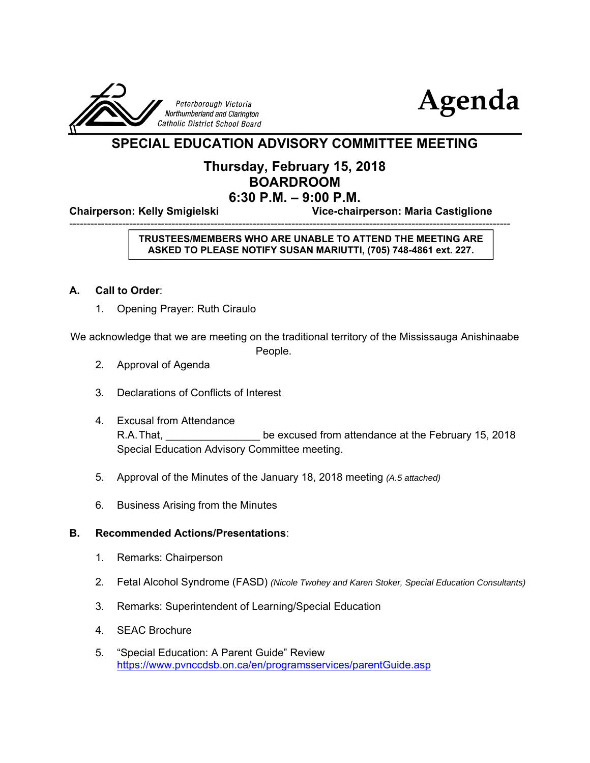



### **SPECIAL EDUCATION ADVISORY COMMITTEE MEETING**

#### **Thursday, February 15, 2018 BOARDROOM 6:30 P.M. – 9:00 P.M.**

-----------------------------------------------------------------------------------------------------------------------------

**Chairperson: Kelly Smigielski Vice-chairperson: Maria Castiglione**

#### **TRUSTEES/MEMBERS WHO ARE UNABLE TO ATTEND THE MEETING ARE ASKED TO PLEASE NOTIFY SUSAN MARIUTTI, (705) 748-4861 ext. 227.**

#### **A. Call to Order**:

1. Opening Prayer: Ruth Ciraulo

We acknowledge that we are meeting on the traditional territory of the Mississauga Anishinaabe

People.

- 2. Approval of Agenda
- 3. Declarations of Conflicts of Interest
- 4. Excusal from Attendance R.A. That, **Exclusive Endingle Excused from attendance at the February 15, 2018** Special Education Advisory Committee meeting.
- 5. Approval of the Minutes of the January 18, 2018 meeting *(A.5 attached)*
- 6. Business Arising from the Minutes

#### **B. Recommended Actions/Presentations**:

- 1. Remarks: Chairperson
- 2. Fetal Alcohol Syndrome (FASD) *(Nicole Twohey and Karen Stoker, Special Education Consultants)*
- 3. Remarks: Superintendent of Learning/Special Education
- 4. SEAC Brochure
- 5. "Special Education: A Parent Guide" Review https://www.pvnccdsb.on.ca/en/programsservices/parentGuide.asp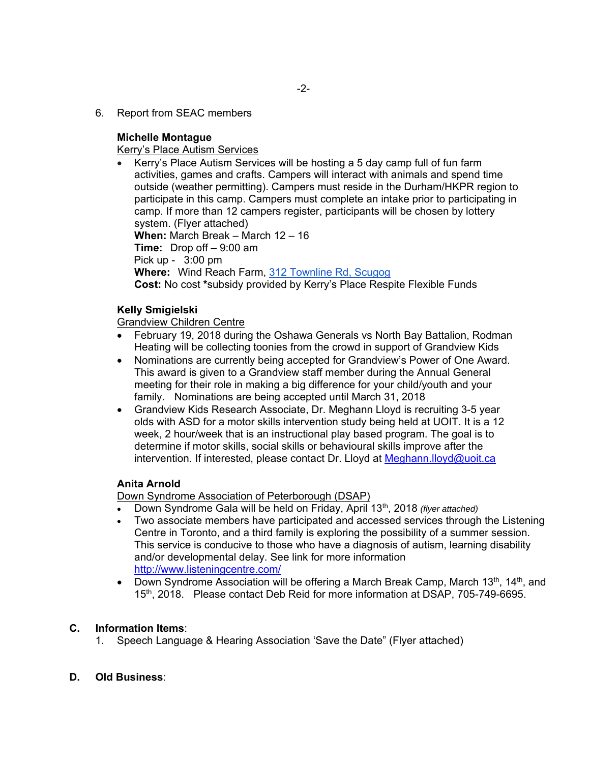6. Report from SEAC members

#### **Michelle Montague**

Kerry's Place Autism Services

 Kerry's Place Autism Services will be hosting a 5 day camp full of fun farm activities, games and crafts. Campers will interact with animals and spend time outside (weather permitting). Campers must reside in the Durham/HKPR region to participate in this camp. Campers must complete an intake prior to participating in camp. If more than 12 campers register, participants will be chosen by lottery system. (Flyer attached) **When:** March Break – March 12 – 16 **Time:** Drop off – 9:00 am Pick up - 3:00 pm **Where:** Wind Reach Farm, 312 Townline Rd, Scugog **Cost:** No cost **\***subsidy provided by Kerry's Place Respite Flexible Funds

#### **Kelly Smigielski**

Grandview Children Centre

- February 19, 2018 during the Oshawa Generals vs North Bay Battalion, Rodman Heating will be collecting toonies from the crowd in support of Grandview Kids
- Nominations are currently being accepted for Grandview's Power of One Award. This award is given to a Grandview staff member during the Annual General meeting for their role in making a big difference for your child/youth and your family. Nominations are being accepted until March 31, 2018
- Grandview Kids Research Associate, Dr. Meghann Lloyd is recruiting 3-5 year olds with ASD for a motor skills intervention study being held at UOIT. It is a 12 week, 2 hour/week that is an instructional play based program. The goal is to determine if motor skills, social skills or behavioural skills improve after the intervention. If interested, please contact Dr. Lloyd at Meghann.lloyd@uoit.ca

#### **Anita Arnold**

Down Syndrome Association of Peterborough (DSAP)

- Down Syndrome Gala will be held on Friday, April 13th, 2018 *(flyer attached)*
- Two associate members have participated and accessed services through the Listening Centre in Toronto, and a third family is exploring the possibility of a summer session. This service is conducive to those who have a diagnosis of autism, learning disability and/or developmental delay. See link for more information http://www.listeningcentre.com/
- Down Syndrome Association will be offering a March Break Camp, March 13<sup>th</sup>, 14<sup>th</sup>, and 15th, 2018. Please contact Deb Reid for more information at DSAP, 705-749-6695.

#### **C. Information Items**:

- 1. Speech Language & Hearing Association 'Save the Date" (Flyer attached)
- **D. Old Business**: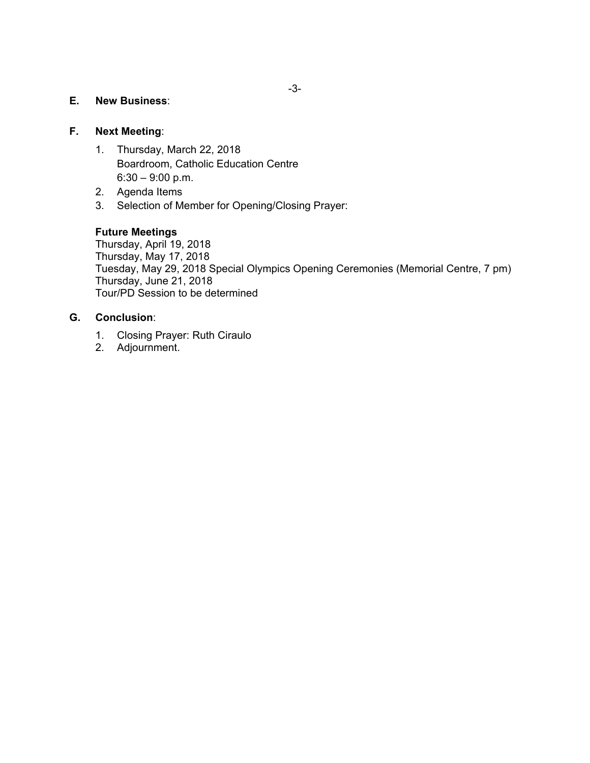#### **E. New Business**:

#### **F. Next Meeting**:

- 1. Thursday, March 22, 2018 Boardroom, Catholic Education Centre 6:30 – 9:00 p.m.
- 2. Agenda Items
- 3. Selection of Member for Opening/Closing Prayer:

#### **Future Meetings**

 Thursday, April 19, 2018 Thursday, May 17, 2018 Tuesday, May 29, 2018 Special Olympics Opening Ceremonies (Memorial Centre, 7 pm) Thursday, June 21, 2018 Tour/PD Session to be determined

#### **G. Conclusion**:

- 1. Closing Prayer: Ruth Ciraulo
- 2. Adjournment.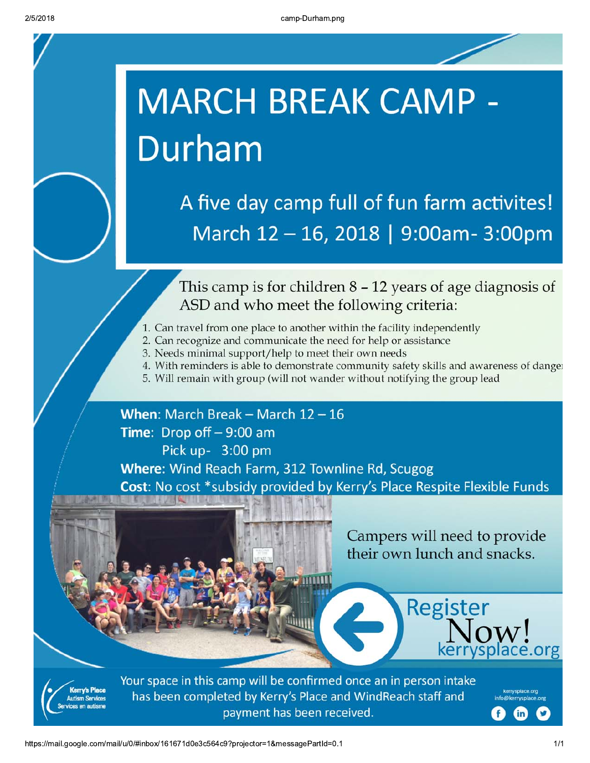# **MARCH BREAK CAMP -**Durham

A five day camp full of fun farm activites! March 12 - 16, 2018 | 9:00am-3:00pm

This camp is for children  $8 - 12$  years of age diagnosis of ASD and who meet the following criteria:

- 1. Can travel from one place to another within the facility independently
- 2. Can recognize and communicate the need for help or assistance
- 3. Needs minimal support/help to meet their own needs
- 4. With reminders is able to demonstrate community safety skills and awareness of danger
- 5. Will remain with group (will not wander without notifying the group lead

## When: March Break - March  $12 - 16$ Time: Drop off  $-9:00$  am Pick up- 3:00 pm Where: Wind Reach Farm, 312 Townline Rd, Scugog Cost: No cost \*subsidy provided by Kerry's Place Respite Flexible Funds







Your space in this camp will be confirmed once an in person intake has been completed by Kerry's Place and WindReach staff and payment has been received.

https://mail.google.com/mail/u/0/#inbox/161671d0e3c564c9?projector=1&messagePartId=0.1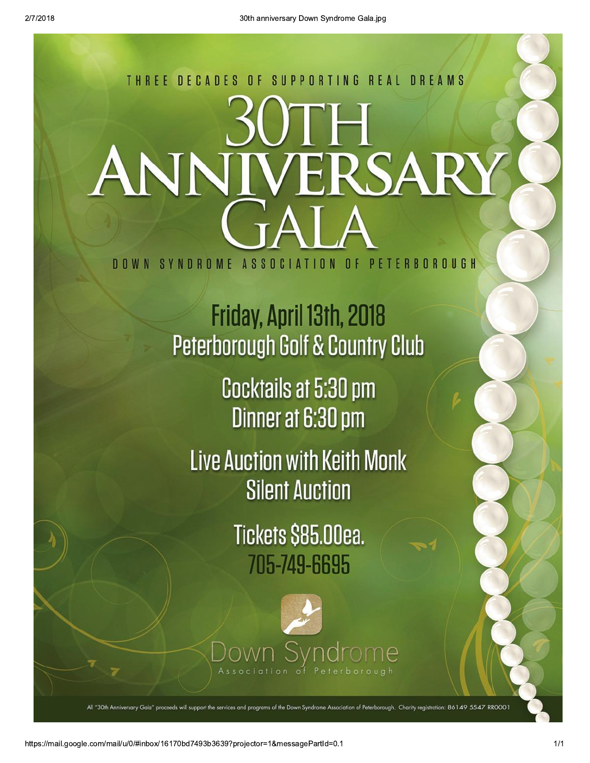## SUPPORTING REAL DREAMS THREE DECADES  $0 F$ ANN ERSARY SYNDROME ASSOCIATION OF **PETERBOROUGH** n n w N

Friday, April 13th, 2018 Peterborough Golf & Country Club

> Cocktails at 5:30 pm Dinner at 6:30 pm

**Live Auction with Keith Monk Silent Auction** 

> Tickets \$85.00ea. 705-749-6695



ion of Peterborough. Charity registration: 86149 5547 RROOO1

https://mail.google.com/mail/u/0/#inbox/16170bd7493b3639?projector=1&messagePartId=0.1